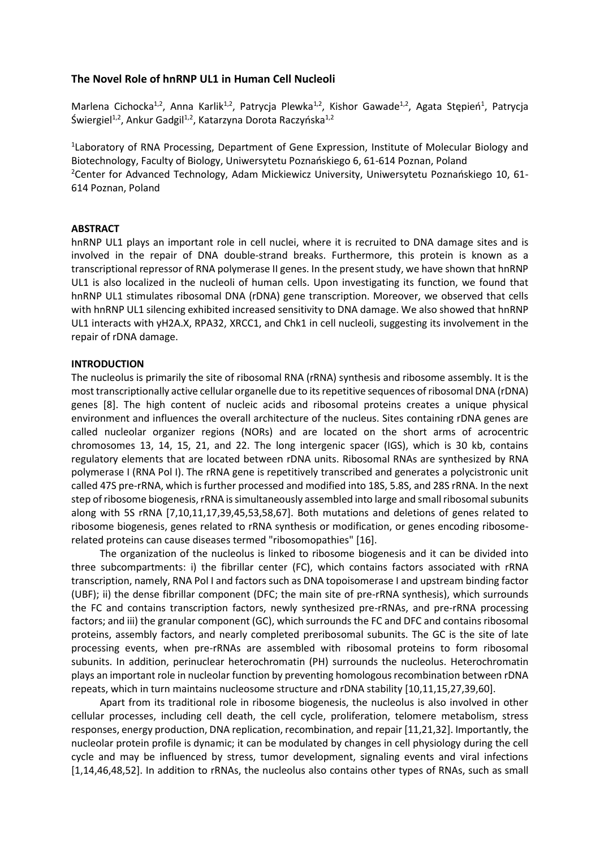## **The Novel Role of hnRNP UL1 in Human Cell Nucleoli**

Marlena Cichocka<sup>1,2</sup>, Anna Karlik<sup>1,2</sup>, Patrycja Plewka<sup>1,2</sup>, Kishor Gawade<sup>1,2</sup>, Agata Stępień<sup>1</sup>, Patrycja Świergiel<sup>1,2</sup>, Ankur Gadgil<sup>1,2</sup>, Katarzyna Dorota Raczyńska<sup>1,2</sup>

<sup>1</sup>Laboratory of RNA Processing, Department of Gene Expression, Institute of Molecular Biology and Biotechnology, Faculty of Biology, Uniwersytetu Poznańskiego 6, 61-614 Poznan, Poland <sup>2</sup>Center for Advanced Technology, Adam Mickiewicz University, Uniwersytetu Poznańskiego 10, 61-614 Poznan, Poland

## **ABSTRACT**

hnRNP UL1 plays an important role in cell nuclei, where it is recruited to DNA damage sites and is involved in the repair of DNA double-strand breaks. Furthermore, this protein is known as a transcriptional repressor of RNA polymerase II genes. In the present study, we have shown that hnRNP UL1 is also localized in the nucleoli of human cells. Upon investigating its function, we found that hnRNP UL1 stimulates ribosomal DNA (rDNA) gene transcription. Moreover, we observed that cells with hnRNP UL1 silencing exhibited increased sensitivity to DNA damage. We also showed that hnRNP UL1 interacts with yH2A.X, RPA32, XRCC1, and Chk1 in cell nucleoli, suggesting its involvement in the repair of rDNA damage.

### **INTRODUCTION**

The nucleolus is primarily the site of ribosomal RNA (rRNA) synthesis and ribosome assembly. It is the most transcriptionally active cellular organelle due to its repetitive sequences of ribosomal DNA (rDNA) genes [8]. The high content of nucleic acids and ribosomal proteins creates a unique physical environment and influences the overall architecture of the nucleus. Sites containing rDNA genes are called nucleolar organizer regions (NORs) and are located on the short arms of acrocentric chromosomes 13, 14, 15, 21, and 22. The long intergenic spacer (IGS), which is 30 kb, contains regulatory elements that are located between rDNA units. Ribosomal RNAs are synthesized by RNA polymerase I (RNA Pol I). The rRNA gene is repetitively transcribed and generates a polycistronic unit called 47S pre-rRNA, which is further processed and modified into 18S, 5.8S, and 28S rRNA. In the next step of ribosome biogenesis, rRNA is simultaneously assembled into large and small ribosomal subunits along with 5S rRNA [7,10,11,17,39,45,53,58,67]. Both mutations and deletions of genes related to ribosome biogenesis, genes related to rRNA synthesis or modification, or genes encoding ribosomerelated proteins can cause diseases termed "ribosomopathies" [16].

The organization of the nucleolus is linked to ribosome biogenesis and it can be divided into three subcompartments: i) the fibrillar center (FC), which contains factors associated with rRNA transcription, namely, RNA Pol I and factors such as DNA topoisomerase I and upstream binding factor (UBF); ii) the dense fibrillar component (DFC; the main site of pre-rRNA synthesis), which surrounds the FC and contains transcription factors, newly synthesized pre-rRNAs, and pre-rRNA processing factors; and iii) the granular component (GC), which surrounds the FC and DFC and contains ribosomal proteins, assembly factors, and nearly completed preribosomal subunits. The GC is the site of late processing events, when pre-rRNAs are assembled with ribosomal proteins to form ribosomal subunits. In addition, perinuclear heterochromatin (PH) surrounds the nucleolus. Heterochromatin plays an important role in nucleolar function by preventing homologous recombination between rDNA repeats, which in turn maintains nucleosome structure and rDNA stability [10,11,15,27,39,60].

Apart from its traditional role in ribosome biogenesis, the nucleolus is also involved in other cellular processes, including cell death, the cell cycle, proliferation, telomere metabolism, stress responses, energy production, DNA replication, recombination, and repair [11,21,32]. Importantly, the nucleolar protein profile is dynamic; it can be modulated by changes in cell physiology during the cell cycle and may be influenced by stress, tumor development, signaling events and viral infections [1,14,46,48,52]. In addition to rRNAs, the nucleolus also contains other types of RNAs, such as small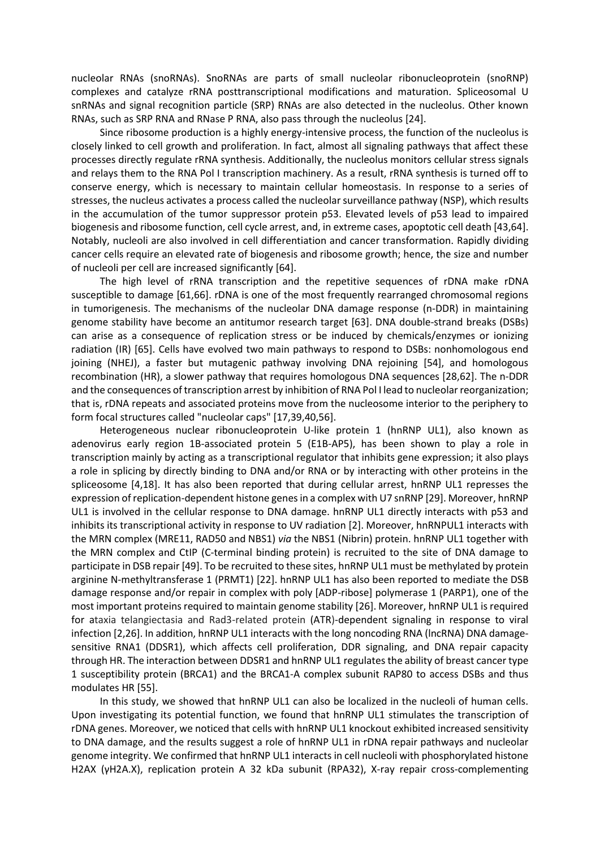nucleolar RNAs (snoRNAs). SnoRNAs are parts of small nucleolar ribonucleoprotein (snoRNP) complexes and catalyze rRNA posttranscriptional modifications and maturation. Spliceosomal U snRNAs and signal recognition particle (SRP) RNAs are also detected in the nucleolus. Other known RNAs, such as SRP RNA and RNase P RNA, also pass through the nucleolus [24].

Since ribosome production is a highly energy-intensive process, the function of the nucleolus is closely linked to cell growth and proliferation. In fact, almost all signaling pathways that affect these processes directly regulate rRNA synthesis. Additionally, the nucleolus monitors cellular stress signals and relays them to the RNA Pol I transcription machinery. As a result, rRNA synthesis is turned off to conserve energy, which is necessary to maintain cellular homeostasis. In response to a series of stresses, the nucleus activates a process called the nucleolar surveillance pathway (NSP), which results in the accumulation of the tumor suppressor protein p53. Elevated levels of p53 lead to impaired biogenesis and ribosome function, cell cycle arrest, and, in extreme cases, apoptotic cell death [43,64]. Notably, nucleoli are also involved in cell differentiation and cancer transformation. Rapidly dividing cancer cells require an elevated rate of biogenesis and ribosome growth; hence, the size and number of nucleoli per cell are increased significantly [64].

The high level of rRNA transcription and the repetitive sequences of rDNA make rDNA susceptible to damage [61,66]. rDNA is one of the most frequently rearranged chromosomal regions in tumorigenesis. The mechanisms of the nucleolar DNA damage response (n-DDR) in maintaining genome stability have become an antitumor research target [63]. DNA double-strand breaks (DSBs) can arise as a consequence of replication stress or be induced by chemicals/enzymes or ionizing radiation (IR) [65]. Cells have evolved two main pathways to respond to DSBs: nonhomologous end joining (NHEJ), a faster but mutagenic pathway involving DNA rejoining [54], and homologous recombination (HR), a slower pathway that requires homologous DNA sequences [28,62]. The n-DDR and the consequences of transcription arrest by inhibition of RNA Pol I lead to nucleolar reorganization; that is, rDNA repeats and associated proteins move from the nucleosome interior to the periphery to form focal structures called "nucleolar caps" [17,39,40,56].

Heterogeneous nuclear ribonucleoprotein U-like protein 1 (hnRNP UL1), also known as adenovirus early region 1B-associated protein 5 (E1B-AP5), has been shown to play a role in transcription mainly by acting as a transcriptional regulator that inhibits gene expression; it also plays a role in splicing by directly binding to DNA and/or RNA or by interacting with other proteins in the spliceosome [4,18]. It has also been reported that during cellular arrest, hnRNP UL1 represses the expression of replication-dependent histone genes in a complex with U7 snRNP [29]. Moreover, hnRNP UL1 is involved in the cellular response to DNA damage. hnRNP UL1 directly interacts with p53 and inhibits its transcriptional activity in response to UV radiation [2]. Moreover, hnRNPUL1 interacts with the MRN complex (MRE11, RAD50 and NBS1) *via* the NBS1 (Nibrin) protein. hnRNP UL1 together with the MRN complex and CtIP (C-terminal binding protein) is recruited to the site of DNA damage to participate in DSB repair [49]. To be recruited to these sites, hnRNP UL1 must be methylated by protein arginine N-methyltransferase 1 (PRMT1) [22]. hnRNP UL1 has also been reported to mediate the DSB damage response and/or repair in complex with poly [ADP-ribose] polymerase 1 (PARP1), one of the most important proteins required to maintain genome stability [26]. Moreover, hnRNP UL1 is required for ataxia telangiectasia and Rad3-related protein (ATR)-dependent signaling in response to viral infection [2,26]. In addition, hnRNP UL1 interacts with the long noncoding RNA (lncRNA) DNA damagesensitive RNA1 (DDSR1), which affects cell proliferation, DDR signaling, and DNA repair capacity through HR. The interaction between DDSR1 and hnRNP UL1 regulates the ability of breast cancer type 1 susceptibility protein (BRCA1) and the BRCA1-A complex subunit RAP80 to access DSBs and thus modulates HR [55].

In this study, we showed that hnRNP UL1 can also be localized in the nucleoli of human cells. Upon investigating its potential function, we found that hnRNP UL1 stimulates the transcription of rDNA genes. Moreover, we noticed that cells with hnRNP UL1 knockout exhibited increased sensitivity to DNA damage, and the results suggest a role of hnRNP UL1 in rDNA repair pathways and nucleolar genome integrity. We confirmed that hnRNP UL1 interacts in cell nucleoli with phosphorylated histone H2AX (γH2A.X), replication protein A 32 kDa subunit (RPA32), X-ray repair cross-complementing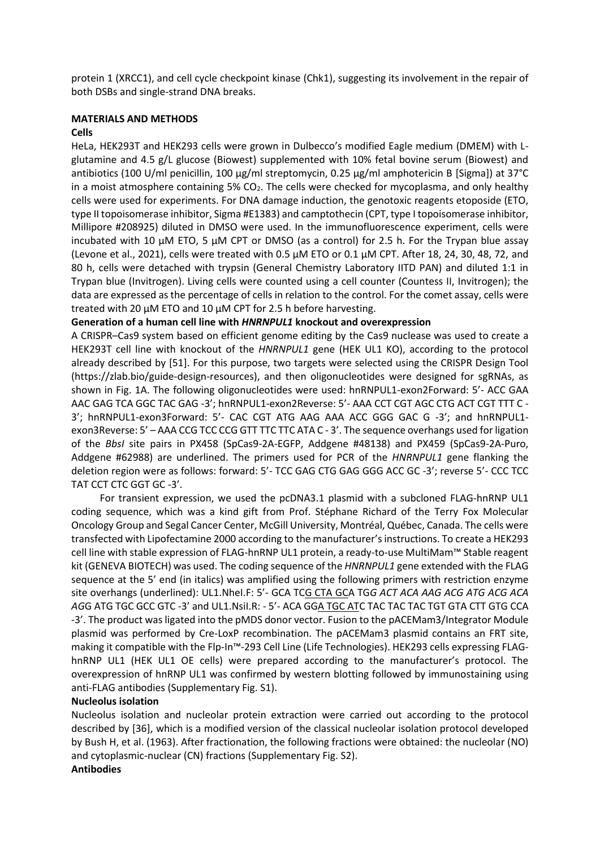protein 1 (XRCC1), and cell cycle checkpoint kinase (Chk1), suggesting its involvement in the repair of both DSBs and single-strand DNA breaks.

### **MATERIALS AND METHODS**

### **Cells**

HeLa, HEK293T and HEK293 cells were grown in Dulbecco's modified Eagle medium (DMEM) with Lglutamine and 4.5 g/L glucose (Biowest) supplemented with 10% fetal bovine serum (Biowest) and antibiotics (100 U/ml penicillin, 100 µg/ml streptomycin, 0.25 µg/ml amphotericin B [Sigma]) at 37°C in a moist atmosphere containing  $5\%$  CO<sub>2</sub>. The cells were checked for mycoplasma, and only healthy cells were used for experiments. For DNA damage induction, the genotoxic reagents etoposide (ETO, type II topoisomerase inhibitor, Sigma #E1383) and camptothecin (CPT, type I topoisomerase inhibitor, Millipore #208925) diluted in DMSO were used. In the immunofluorescence experiment, cells were incubated with 10  $\mu$ M ETO, 5  $\mu$ M CPT or DMSO (as a control) for 2.5 h. For the Trypan blue assay (Levone et al., 2021), cells were treated with 0.5 μM ETO or 0.1 μM CPT. After 18, 24, 30, 48, 72, and 80 h, cells were detached with trypsin (General Chemistry Laboratory IITD PAN) and diluted 1:1 in Trypan blue (Invitrogen). Living cells were counted using a cell counter (Countess II, Invitrogen); the data are expressed as the percentage of cells in relation to the control. For the comet assay, cells were treated with 20 µM ETO and 10 µM CPT for 2.5 h before harvesting.

## **Generation of a human cell line with** *HNRNPUL1* **knockout and overexpression**

A CRISPR–Cas9 system based on efficient genome editing by the Cas9 nuclease was used to create a HEK293T cell line with knockout of the *HNRNPUL1* gene (HEK UL1 KO), according to the protocol already described by [51]. For this purpose, two targets were selected using the CRISPR Design Tool (https://zlab.bio/guide-design-resources), and then oligonucleotides were designed for sgRNAs, as shown in Fig. 1A. The following oligonucleotides were used: hnRNPUL1-exon2Forward: 5'- ACC GAA AAC GAG TCA GGC TAC GAG -3'; hnRNPUL1-exon2Reverse: 5'- AAA CCT CGT AGC CTG ACT CGT TTT C - 3'; hnRNPUL1-exon3Forward: 5'- CAC CGT ATG AAG AAA ACC GGG GAC G -3'; and hnRNPUL1 exon3Reverse: 5' – AAA CCG TCC CCG GTT TTC TTC ATA C - 3'. The sequence overhangs used for ligation of the *BbsI* site pairs in PX458 (SpCas9-2A-EGFP, Addgene #48138) and PX459 (SpCas9-2A-Puro, Addgene #62988) are underlined. The primers used for PCR of the *HNRNPUL1* gene flanking the deletion region were as follows: forward: 5'- TCC GAG CTG GAG GGG ACC GC -3'; reverse 5'- CCC TCC TAT CCT CTC GGT GC -3'.

For transient expression, we used the pcDNA3.1 plasmid with a subcloned FLAG-hnRNP UL1 coding sequence, which was a kind gift from Prof. Stéphane Richard of the Terry Fox Molecular Oncology Group and Segal Cancer Center, McGill University, Montréal, Québec, Canada. The cells were transfected with Lipofectamine 2000 according to the manufacturer's instructions. To create a HEK293 cell line with stable expression of FLAG-hnRNP UL1 protein, a ready-to-use MultiMam™ Stable reagent kit (GENEVA BIOTECH) was used. The coding sequence of the *HNRNPUL1* gene extended with the FLAG sequence at the 5' end (in italics) was amplified using the following primers with restriction enzyme site overhangs (underlined): UL1.NheI.F: 5'- GCA TCG CTA GCA TG*G ACT ACA AAG ACG ATG ACG ACA AG*G ATG TGC GCC GTC -3' and UL1.NsiI.R: - 5'- ACA GGA TGC ATC TAC TAC TAC TGT GTA CTT GTG CCA -3'. The product was ligated into the pMDS donor vector. Fusion to the pACEMam3/Integrator Module plasmid was performed by Cre-LoxP recombination. The pACEMam3 plasmid contains an FRT site, making it compatible with the Flp-In™-293 Cell Line (Life Technologies). HEK293 cells expressing FLAGhnRNP UL1 (HEK UL1 OE cells) were prepared according to the manufacturer's protocol. The overexpression of hnRNP UL1 was confirmed by western blotting followed by immunostaining using anti-FLAG antibodies (Supplementary Fig. S1).

## **Nucleolus isolation**

Nucleolus isolation and nucleolar protein extraction were carried out according to the protocol described by [36], which is a modified version of the classical nucleolar isolation protocol developed by Bush H, et al. (1963). After fractionation, the following fractions were obtained: the nucleolar (NO) and cytoplasmic-nuclear (CN) fractions (Supplementary Fig. S2).

#### **Antibodies**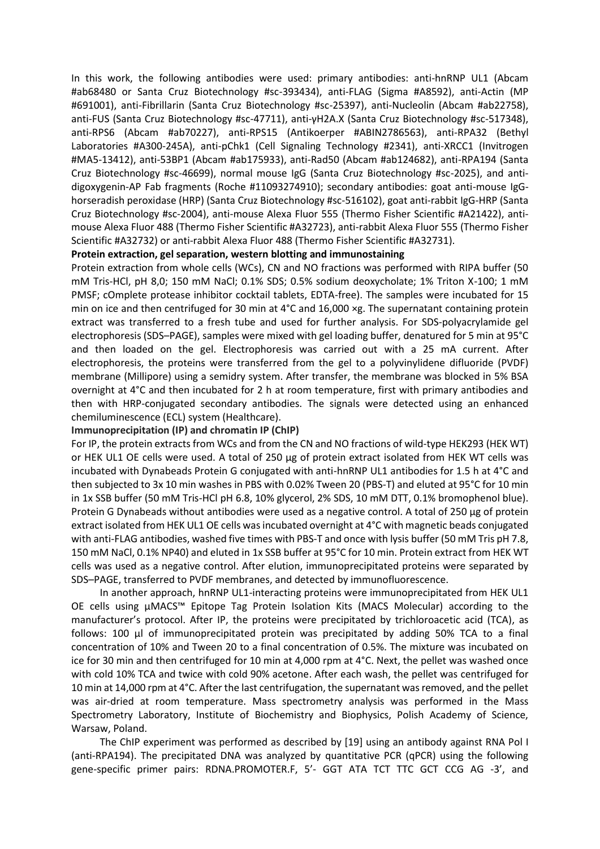In this work, the following antibodies were used: primary antibodies: anti-hnRNP UL1 (Abcam #ab68480 or Santa Cruz Biotechnology #sc-393434), anti-FLAG (Sigma #A8592), anti-Actin (MP #691001), anti-Fibrillarin (Santa Cruz Biotechnology #sc-25397), anti-Nucleolin (Abcam #ab22758), anti-FUS (Santa Cruz Biotechnology #sc-47711), anti-γH2A.X (Santa Cruz Biotechnology #sc-517348), anti-RPS6 (Abcam #ab70227), anti-RPS15 (Antikoerper #ABIN2786563), anti-RPA32 (Bethyl Laboratories #A300-245A), anti-pChk1 (Cell Signaling Technology #2341), anti-XRCC1 (Invitrogen #MA5-13412), anti-53BP1 (Abcam #ab175933), anti-Rad50 (Abcam #ab124682), anti-RPA194 (Santa Cruz Biotechnology #sc-46699), normal mouse IgG (Santa Cruz Biotechnology #sc-2025), and antidigoxygenin-AP Fab fragments (Roche #11093274910); secondary antibodies: goat anti-mouse IgGhorseradish peroxidase (HRP) (Santa Cruz Biotechnology #sc-516102), goat anti-rabbit IgG-HRP (Santa Cruz Biotechnology #sc-2004), anti-mouse Alexa Fluor 555 (Thermo Fisher Scientific #A21422), antimouse Alexa Fluor 488 (Thermo Fisher Scientific #A32723), anti-rabbit Alexa Fluor 555 (Thermo Fisher Scientific #A32732) or anti-rabbit Alexa Fluor 488 (Thermo Fisher Scientific #A32731).

## **Protein extraction, gel separation, western blotting and immunostaining**

Protein extraction from whole cells (WCs), CN and NO fractions was performed with RIPA buffer (50 mM Tris-HCl, pH 8,0; 150 mM NaCl; 0.1% SDS; 0.5% sodium deoxycholate; 1% Triton X-100; 1 mM PMSF; cOmplete protease inhibitor cocktail tablets, EDTA-free). The samples were incubated for 15 min on ice and then centrifuged for 30 min at 4°C and 16,000 ×g. The supernatant containing protein extract was transferred to a fresh tube and used for further analysis. For SDS-polyacrylamide gel electrophoresis (SDS–PAGE), samples were mixed with gel loading buffer, denatured for 5 min at 95°C and then loaded on the gel. Electrophoresis was carried out with a 25 mA current. After electrophoresis, the proteins were transferred from the gel to a polyvinylidene difluoride (PVDF) membrane (Millipore) using a semidry system. After transfer, the membrane was blocked in 5% BSA overnight at 4°C and then incubated for 2 h at room temperature, first with primary antibodies and then with HRP-conjugated secondary antibodies. The signals were detected using an enhanced chemiluminescence (ECL) system (Healthcare).

## **Immunoprecipitation (IP) and chromatin IP (ChIP)**

For IP, the protein extracts from WCs and from the CN and NO fractions of wild-type HEK293 (HEK WT) or HEK UL1 OE cells were used. A total of 250 µg of protein extract isolated from HEK WT cells was incubated with Dynabeads Protein G conjugated with anti-hnRNP UL1 antibodies for 1.5 h at 4°C and then subjected to 3x 10 min washes in PBS with 0.02% Tween 20 (PBS-T) and eluted at 95°C for 10 min in 1x SSB buffer (50 mM Tris-HCl pH 6.8, 10% glycerol, 2% SDS, 10 mM DTT, 0.1% bromophenol blue). Protein G Dynabeads without antibodies were used as a negative control. A total of 250 µg of protein extract isolated from HEK UL1 OE cells was incubated overnight at 4°C with magnetic beads conjugated with anti-FLAG antibodies, washed five times with PBS-T and once with lysis buffer (50 mM Tris pH 7.8, 150 mM NaCl, 0.1% NP40) and eluted in 1x SSB buffer at 95°C for 10 min. Protein extract from HEK WT cells was used as a negative control. After elution, immunoprecipitated proteins were separated by SDS–PAGE, transferred to PVDF membranes, and detected by immunofluorescence.

In another approach, hnRNP UL1-interacting proteins were immunoprecipitated from HEK UL1 OE cells using μMACS™ Epitope Tag Protein Isolation Kits (MACS Molecular) according to the manufacturer's protocol. After IP, the proteins were precipitated by trichloroacetic acid (TCA), as follows: 100 μl of immunoprecipitated protein was precipitated by adding 50% TCA to a final concentration of 10% and Tween 20 to a final concentration of 0.5%. The mixture was incubated on ice for 30 min and then centrifuged for 10 min at 4,000 rpm at 4°C. Next, the pellet was washed once with cold 10% TCA and twice with cold 90% acetone. After each wash, the pellet was centrifuged for 10 min at 14,000 rpm at 4°C. After the last centrifugation, the supernatant was removed, and the pellet was air-dried at room temperature. Mass spectrometry analysis was performed in the Mass Spectrometry Laboratory, Institute of Biochemistry and Biophysics, Polish Academy of Science, Warsaw, Poland.

The ChIP experiment was performed as described by [19] using an antibody against RNA Pol I (anti-RPA194). The precipitated DNA was analyzed by quantitative PCR (qPCR) using the following gene-specific primer pairs: RDNA.PROMOTER.F, 5'- GGT ATA TCT TTC GCT CCG AG -3', and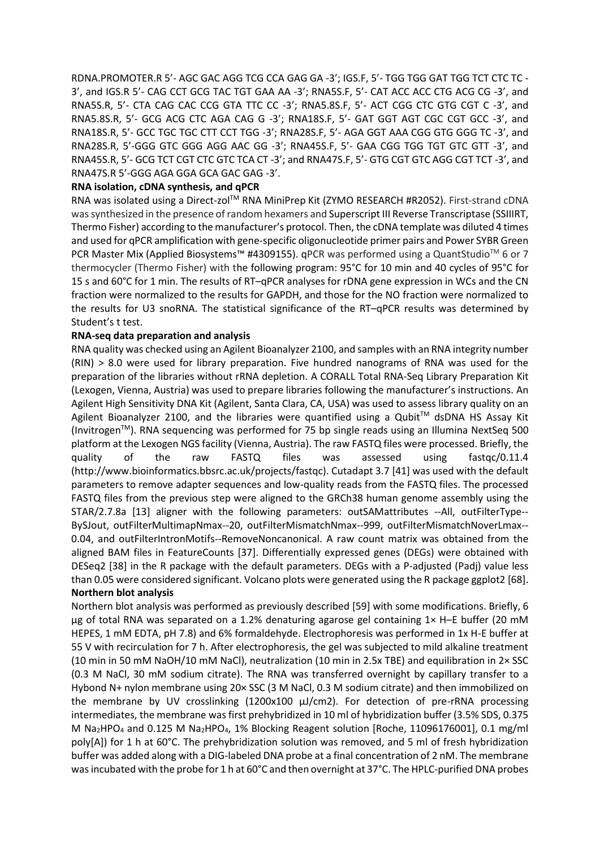RDNA.PROMOTER.R 5'- AGC GAC AGG TCG CCA GAG GA -3'; IGS.F, 5'- TGG TGG GAT TGG TCT CTC TC - 3', and IGS.R 5'- CAG CCT GCG TAC TGT GAA AA -3'; RNA5S.F, 5'- CAT ACC ACC CTG ACG CG -3', and RNA5S.R, 5'- CTA CAG CAC CCG GTA TTC CC -3'; RNA5.8S.F, 5'- ACT CGG CTC GTG CGT C -3', and RNA5.8S.R, 5'- GCG ACG CTC AGA CAG G -3'; RNA18S.F, 5'- GAT GGT AGT CGC CGT GCC -3', and RNA18S.R, 5'- GCC TGC TGC CTT CCT TGG -3'; RNA28S.F, 5'- AGA GGT AAA CGG GTG GGG TC -3', and RNA28S.R, 5'-GGG GTC GGG AGG AAC GG -3'; RNA45S.F, 5'- GAA CGG TGG TGT GTC GTT -3', and RNA45S.R, 5'- GCG TCT CGT CTC GTC TCA CT -3'; and RNA47S.F, 5'- GTG CGT GTC AGG CGT TCT -3', and RNA47S.R 5'-GGG AGA GGA GCA GAC GAG -3'.

## **RNA isolation, cDNA synthesis, and qPCR**

RNA was isolated using a Direct-zol<sup>TM</sup> RNA MiniPrep Kit (ZYMO RESEARCH #R2052). First-strand cDNA was synthesized in the presence of random hexamers and Superscript III Reverse Transcriptase (SSIIIRT, Thermo Fisher) according to the manufacturer's protocol. Then, the cDNA template was diluted 4 times and used for qPCR amplification with gene-specific oligonucleotide primer pairs and Power SYBR Green PCR Master Mix (Applied Biosystems™ #4309155). qPCR was performed using a QuantStudio<sup>™</sup> 6 or 7 thermocycler (Thermo Fisher) with the following program: 95°C for 10 min and 40 cycles of 95°C for 15 s and 60°C for 1 min. The results of RT–qPCR analyses for rDNA gene expression in WCs and the CN fraction were normalized to the results for GAPDH, and those for the NO fraction were normalized to the results for U3 snoRNA. The statistical significance of the RT–qPCR results was determined by Student's t test.

### **RNA-seq data preparation and analysis**

RNA quality was checked using an Agilent Bioanalyzer 2100, and samples with an RNA integrity number (RIN) > 8.0 were used for library preparation. Five hundred nanograms of RNA was used for the preparation of the libraries without rRNA depletion. A CORALL Total RNA-Seq Library Preparation Kit (Lexogen, Vienna, Austria) was used to prepare libraries following the manufacturer's instructions. An Agilent High Sensitivity DNA Kit (Agilent, Santa Clara, CA, USA) was used to assess library quality on an Agilent Bioanalyzer 2100, and the libraries were quantified using a Qubit™ dsDNA HS Assay Kit (InvitrogenTM). RNA sequencing was performed for 75 bp single reads using an Illumina NextSeq 500 platform at the Lexogen NGS facility (Vienna, Austria). The raw FASTQ files were processed. Briefly, the quality of the raw FASTQ files was assessed using fastqc/0.11.4 (http://www.bioinformatics.bbsrc.ac.uk/projects/fastqc). Cutadapt 3.7 [41] was used with the default parameters to remove adapter sequences and low-quality reads from the FASTQ files. The processed FASTQ files from the previous step were aligned to the GRCh38 human genome assembly using the STAR/2.7.8a [13] aligner with the following parameters: outSAMattributes --All, outFilterType-- BySJout, outFilterMultimapNmax--20, outFilterMismatchNmax--999, outFilterMismatchNoverLmax-- 0.04, and outFilterIntronMotifs--RemoveNoncanonical. A raw count matrix was obtained from the aligned BAM files in FeatureCounts [37]. Differentially expressed genes (DEGs) were obtained with DESeq2 [38] in the R package with the default parameters. DEGs with a P-adjusted (Padj) value less than 0.05 were considered significant. Volcano plots were generated using the R package ggplot2 [68].

# **Northern blot analysis**

Northern blot analysis was performed as previously described [59] with some modifications. Briefly, 6 µg of total RNA was separated on a 1.2% denaturing agarose gel containing 1× H–E buffer (20 mM HEPES, 1 mM EDTA, pH 7.8) and 6% formaldehyde. Electrophoresis was performed in 1x H-E buffer at 55 V with recirculation for 7 h. After electrophoresis, the gel was subjected to mild alkaline treatment (10 min in 50 mM NaOH/10 mM NaCl), neutralization (10 min in 2.5x TBE) and equilibration in 2× SSC (0.3 M NaCl, 30 mM sodium citrate). The RNA was transferred overnight by capillary transfer to a Hybond N+ nylon membrane using 20× SSC (3 M NaCl, 0.3 M sodium citrate) and then immobilized on the membrane by UV crosslinking  $(1200x100 \mu)/cm$ ). For detection of pre-rRNA processing intermediates, the membrane was first prehybridized in 10 ml of hybridization buffer (3.5% SDS, 0.375 M Na2HPO<sup>4</sup> and 0.125 M Na2HPO4, 1% Blocking Reagent solution [Roche, 11096176001], 0.1 mg/ml poly[A]) for 1 h at 60°C. The prehybridization solution was removed, and 5 ml of fresh hybridization buffer was added along with a DIG-labeled DNA probe at a final concentration of 2 nM. The membrane was incubated with the probe for 1 h at 60°C and then overnight at 37°C. The HPLC-purified DNA probes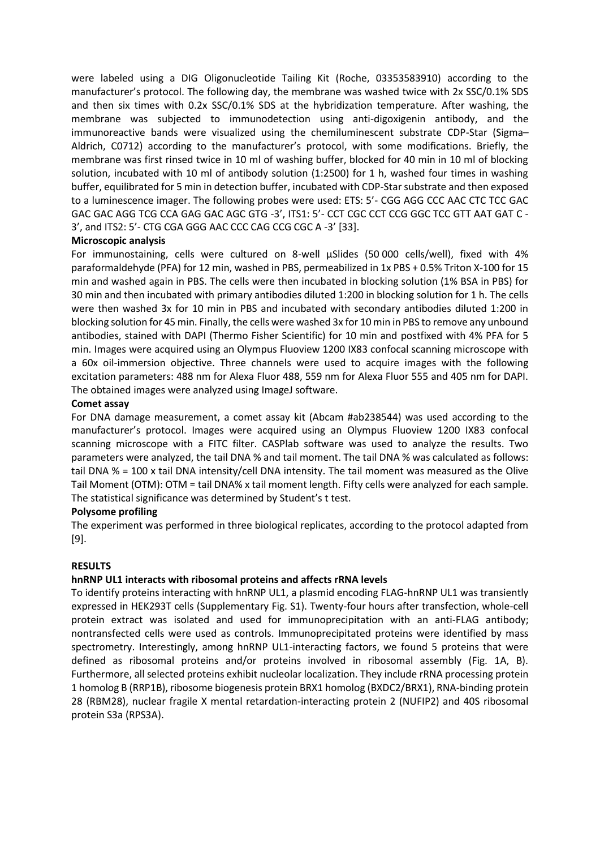were labeled using a DIG Oligonucleotide Tailing Kit (Roche, 03353583910) according to the manufacturer's protocol. The following day, the membrane was washed twice with 2x SSC/0.1% SDS and then six times with 0.2x SSC/0.1% SDS at the hybridization temperature. After washing, the membrane was subjected to immunodetection using anti-digoxigenin antibody, and the immunoreactive bands were visualized using the chemiluminescent substrate CDP-Star (Sigma– Aldrich, C0712) according to the manufacturer's protocol, with some modifications. Briefly, the membrane was first rinsed twice in 10 ml of washing buffer, blocked for 40 min in 10 ml of blocking solution, incubated with 10 ml of antibody solution (1:2500) for 1 h, washed four times in washing buffer, equilibrated for 5 min in detection buffer, incubated with CDP-Star substrate and then exposed to a luminescence imager. The following probes were used: ETS: 5'- CGG AGG CCC AAC CTC TCC GAC GAC GAC AGG TCG CCA GAG GAC AGC GTG -3', ITS1: 5'- CCT CGC CCT CCG GGC TCC GTT AAT GAT C - 3', and ITS2: 5'- CTG CGA GGG AAC CCC CAG CCG CGC A -3' [33].

## **Microscopic analysis**

For immunostaining, cells were cultured on 8-well µSlides (50 000 cells/well), fixed with 4% paraformaldehyde (PFA) for 12 min, washed in PBS, permeabilized in 1x PBS + 0.5% Triton X-100 for 15 min and washed again in PBS. The cells were then incubated in blocking solution (1% BSA in PBS) for 30 min and then incubated with primary antibodies diluted 1:200 in blocking solution for 1 h. The cells were then washed 3x for 10 min in PBS and incubated with secondary antibodies diluted 1:200 in blocking solution for 45 min. Finally, the cells were washed 3x for 10 min in PBS to remove any unbound antibodies, stained with DAPI (Thermo Fisher Scientific) for 10 min and postfixed with 4% PFA for 5 min. Images were acquired using an Olympus Fluoview 1200 IX83 confocal scanning microscope with a 60x oil-immersion objective. Three channels were used to acquire images with the following excitation parameters: 488 nm for Alexa Fluor 488, 559 nm for Alexa Fluor 555 and 405 nm for DAPI. The obtained images were analyzed using ImageJ software.

## **Comet assay**

For DNA damage measurement, a comet assay kit (Abcam #ab238544) was used according to the manufacturer's protocol. Images were acquired using an Olympus Fluoview 1200 IX83 confocal scanning microscope with a FITC filter. CASPlab software was used to analyze the results. Two parameters were analyzed, the tail DNA % and tail moment. The tail DNA % was calculated as follows: tail DNA % = 100 x tail DNA intensity/cell DNA intensity. The tail moment was measured as the Olive Tail Moment (OTM): OTM = tail DNA% x tail moment length. Fifty cells were analyzed for each sample. The statistical significance was determined by Student's t test.

## **Polysome profiling**

The experiment was performed in three biological replicates, according to the protocol adapted from [9].

## **RESULTS**

## **hnRNP UL1 interacts with ribosomal proteins and affects rRNA levels**

To identify proteins interacting with hnRNP UL1, a plasmid encoding FLAG-hnRNP UL1 was transiently expressed in HEK293T cells (Supplementary Fig. S1). Twenty-four hours after transfection, whole-cell protein extract was isolated and used for immunoprecipitation with an anti-FLAG antibody; nontransfected cells were used as controls. Immunoprecipitated proteins were identified by mass spectrometry. Interestingly, among hnRNP UL1-interacting factors, we found 5 proteins that were defined as ribosomal proteins and/or proteins involved in ribosomal assembly (Fig. 1A, B). Furthermore, all selected proteins exhibit nucleolar localization. They include rRNA processing protein 1 homolog B (RRP1B), ribosome biogenesis protein BRX1 homolog (BXDC2/BRX1), RNA-binding protein 28 (RBM28), nuclear fragile X mental retardation-interacting protein 2 (NUFIP2) and 40S ribosomal protein S3a (RPS3A).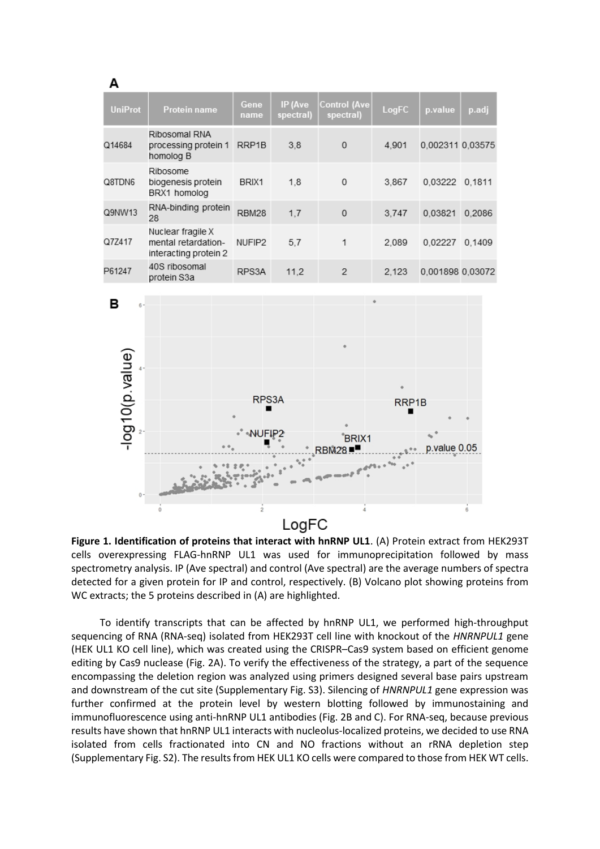| A                                   |                                                                   |                     |                      |                                              |            |                  |       |
|-------------------------------------|-------------------------------------------------------------------|---------------------|----------------------|----------------------------------------------|------------|------------------|-------|
| <b>UniProt</b>                      | Protein name                                                      | Gene<br>name        | IP (Ave<br>spectral) | <b>Control (Ave</b><br>spectral)             | LogFC      | p.value          | p.adj |
| Q14684                              | Ribosomal RNA<br>processing protein 1<br>homolog B                |                     | 3,8                  | $\mathbf{0}$                                 | 4,901      | 0,002311 0,03575 |       |
| Q8TDN6                              | Ribosome<br>biogenesis protein<br>BRX1 homolog                    |                     | 1,8                  | 0                                            | 3,867      | 0,03222 0,1811   |       |
| RNA-binding protein<br>Q9NW13<br>28 |                                                                   | RBM28               | 1,7                  | 0                                            | 3,747      | 0,03821 0,2086   |       |
| Q7Z417                              | Nuclear fragile X<br>mental retardation-<br>interacting protein 2 |                     | 5,7                  | 1                                            | 2,089      | 0,02227 0,1409   |       |
| P61247                              | 40S ribosomal<br>protein S3a                                      | RPS3A               | 11,2                 | $\mathbf{2}$                                 | 2,123      | 0,001898 0,03072 |       |
| в<br>$6 -$<br>-log10(p.value)       |                                                                   | RPS3A               |                      |                                              | RRP1B<br>■ |                  |       |
| $0 -$                               |                                                                   | NUFIP2<br>$\bar{2}$ |                      | <b>BRIX1</b><br><b>RBM28</b><br>n emand<br>4 |            | p.value 0.05     |       |
|                                     | 0                                                                 |                     | LogFC                |                                              |            |                  | 6     |

**Figure 1. Identification of proteins that interact with hnRNP UL1**. (A) Protein extract from HEK293T cells overexpressing FLAG-hnRNP UL1 was used for immunoprecipitation followed by mass spectrometry analysis. IP (Ave spectral) and control (Ave spectral) are the average numbers of spectra detected for a given protein for IP and control, respectively. (B) Volcano plot showing proteins from WC extracts; the 5 proteins described in (A) are highlighted.

To identify transcripts that can be affected by hnRNP UL1, we performed high-throughput sequencing of RNA (RNA-seq) isolated from HEK293T cell line with knockout of the *HNRNPUL1* gene (HEK UL1 KO cell line), which was created using the CRISPR–Cas9 system based on efficient genome editing by Cas9 nuclease (Fig. 2A). To verify the effectiveness of the strategy, a part of the sequence encompassing the deletion region was analyzed using primers designed several base pairs upstream and downstream of the cut site (Supplementary Fig. S3). Silencing of *HNRNPUL1* gene expression was further confirmed at the protein level by western blotting followed by immunostaining and immunofluorescence using anti-hnRNP UL1 antibodies (Fig. 2B and C). For RNA-seq, because previous results have shown that hnRNP UL1 interacts with nucleolus-localized proteins, we decided to use RNA isolated from cells fractionated into CN and NO fractions without an rRNA depletion step (Supplementary Fig. S2). The resultsfrom HEK UL1 KO cells were compared to those from HEK WT cells.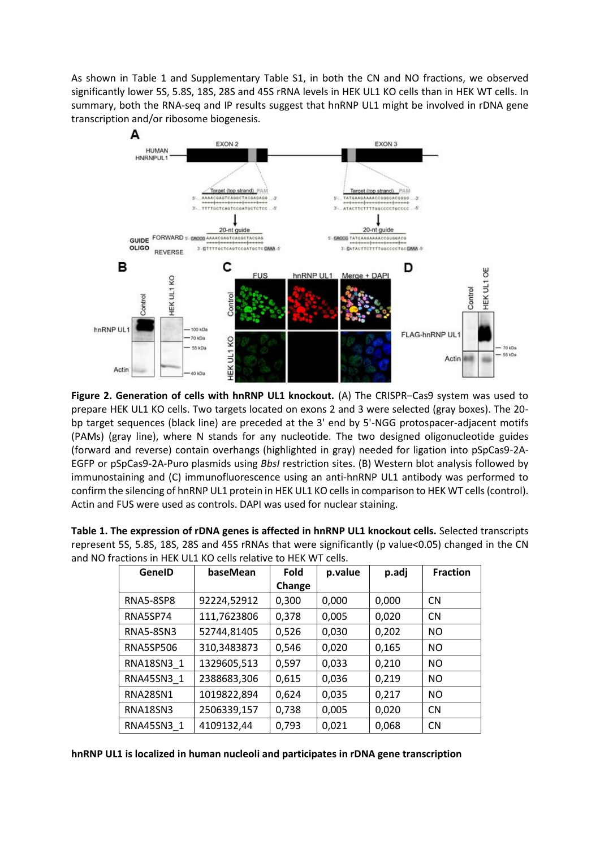As shown in Table 1 and Supplementary Table S1, in both the CN and NO fractions, we observed significantly lower 5S, 5.8S, 18S, 28S and 45S rRNA levels in HEK UL1 KO cells than in HEK WT cells. In summary, both the RNA-seq and IP results suggest that hnRNP UL1 might be involved in rDNA gene transcription and/or ribosome biogenesis.



**Figure 2. Generation of cells with hnRNP UL1 knockout.** (A) The CRISPR–Cas9 system was used to prepare HEK UL1 KO cells. Two targets located on exons 2 and 3 were selected (gray boxes). The 20 bp target sequences (black line) are preceded at the 3' end by 5'-NGG protospacer-adjacent motifs (PAMs) (gray line), where N stands for any nucleotide. The two designed oligonucleotide guides (forward and reverse) contain overhangs (highlighted in gray) needed for ligation into pSpCas9-2A-EGFP or pSpCas9-2A-Puro plasmids using *BbsI* restriction sites. (B) Western blot analysis followed by immunostaining and (C) immunofluorescence using an anti-hnRNP UL1 antibody was performed to confirm the silencing of hnRNP UL1 protein in HEK UL1 KO cells in comparison to HEK WT cells (control). Actin and FUS were used as controls. DAPI was used for nuclear staining.

| fractions in HEK UL1 KO cells relative to HEK WT cells. |                  |             |             |         |       |                 |  |  |  |  |
|---------------------------------------------------------|------------------|-------------|-------------|---------|-------|-----------------|--|--|--|--|
|                                                         | GeneID           | baseMean    | <b>Fold</b> | p.value | p.adj | <b>Fraction</b> |  |  |  |  |
|                                                         |                  |             | Change      |         |       |                 |  |  |  |  |
|                                                         | <b>RNA5-8SP8</b> | 92224,52912 | 0,300       | 0,000   | 0,000 | <b>CN</b>       |  |  |  |  |
|                                                         | RNA5SP74         | 111,7623806 | 0,378       | 0,005   | 0,020 | <b>CN</b>       |  |  |  |  |
|                                                         | <b>RNA5-8SN3</b> | 52744,81405 | 0,526       | 0,030   | 0,202 | NO.             |  |  |  |  |
|                                                         | <b>RNA5SP506</b> | 310,3483873 | 0,546       | 0,020   | 0,165 | <b>NO</b>       |  |  |  |  |
|                                                         | RNA18SN3 1       | 1329605,513 | 0,597       | 0,033   | 0,210 | <b>NO</b>       |  |  |  |  |
|                                                         | RNA45SN3 1       | 2388683,306 | 0,615       | 0,036   | 0,219 | <b>NO</b>       |  |  |  |  |
|                                                         | <b>RNA28SN1</b>  | 1019822,894 | 0,624       | 0,035   | 0,217 | <b>NO</b>       |  |  |  |  |
|                                                         | RNA18SN3         | 2506339,157 | 0,738       | 0,005   | 0,020 | <b>CN</b>       |  |  |  |  |
|                                                         | RNA45SN3 1       | 4109132,44  | 0,793       | 0,021   | 0,068 | <b>CN</b>       |  |  |  |  |

**Table 1. The expression of rDNA genes is affected in hnRNP UL1 knockout cells.** Selected transcripts represent 5S, 5.8S, 18S, 28S and 45S rRNAs that were significantly (p value<0.05) changed in the CN and NO fraction

**hnRNP UL1 is localized in human nucleoli and participates in rDNA gene transcription**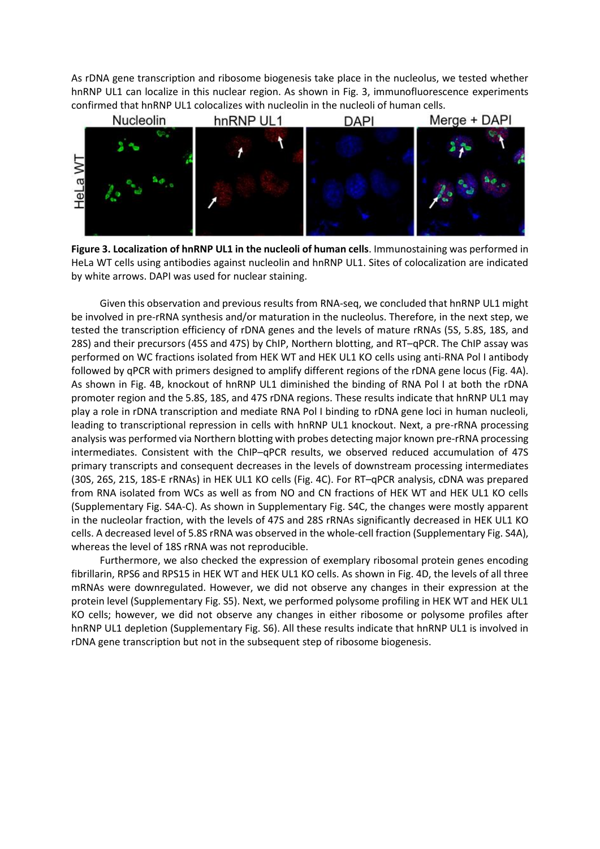As rDNA gene transcription and ribosome biogenesis take place in the nucleolus, we tested whether hnRNP UL1 can localize in this nuclear region. As shown in Fig. 3, immunofluorescence experiments confirmed that hnRNP UL1 colocalizes with nucleolin in the nucleoli of human cells.



**Figure 3. Localization of hnRNP UL1 in the nucleoli of human cells**. Immunostaining was performed in HeLa WT cells using antibodies against nucleolin and hnRNP UL1. Sites of colocalization are indicated by white arrows. DAPI was used for nuclear staining.

Given this observation and previous results from RNA-seq, we concluded that hnRNP UL1 might be involved in pre-rRNA synthesis and/or maturation in the nucleolus. Therefore, in the next step, we tested the transcription efficiency of rDNA genes and the levels of mature rRNAs (5S, 5.8S, 18S, and 28S) and their precursors (45S and 47S) by ChIP, Northern blotting, and RT–qPCR. The ChIP assay was performed on WC fractions isolated from HEK WT and HEK UL1 KO cells using anti-RNA Pol I antibody followed by qPCR with primers designed to amplify different regions of the rDNA gene locus (Fig. 4A). As shown in Fig. 4B, knockout of hnRNP UL1 diminished the binding of RNA Pol I at both the rDNA promoter region and the 5.8S, 18S, and 47S rDNA regions. These results indicate that hnRNP UL1 may play a role in rDNA transcription and mediate RNA Pol I binding to rDNA gene loci in human nucleoli, leading to transcriptional repression in cells with hnRNP UL1 knockout. Next, a pre-rRNA processing analysis was performed via Northern blotting with probes detecting major known pre-rRNA processing intermediates. Consistent with the ChIP–qPCR results, we observed reduced accumulation of 47S primary transcripts and consequent decreases in the levels of downstream processing intermediates (30S, 26S, 21S, 18S-E rRNAs) in HEK UL1 KO cells (Fig. 4C). For RT–qPCR analysis, cDNA was prepared from RNA isolated from WCs as well as from NO and CN fractions of HEK WT and HEK UL1 KO cells (Supplementary Fig. S4A-C). As shown in Supplementary Fig. S4C, the changes were mostly apparent in the nucleolar fraction, with the levels of 47S and 28S rRNAs significantly decreased in HEK UL1 KO cells. A decreased level of 5.8S rRNA was observed in the whole-cell fraction (Supplementary Fig. S4A), whereas the level of 18S rRNA was not reproducible.

Furthermore, we also checked the expression of exemplary ribosomal protein genes encoding fibrillarin, RPS6 and RPS15 in HEK WT and HEK UL1 KO cells. As shown in Fig. 4D, the levels of all three mRNAs were downregulated. However, we did not observe any changes in their expression at the protein level (Supplementary Fig. S5). Next, we performed polysome profiling in HEK WT and HEK UL1 KO cells; however, we did not observe any changes in either ribosome or polysome profiles after hnRNP UL1 depletion (Supplementary Fig. S6). All these results indicate that hnRNP UL1 is involved in rDNA gene transcription but not in the subsequent step of ribosome biogenesis.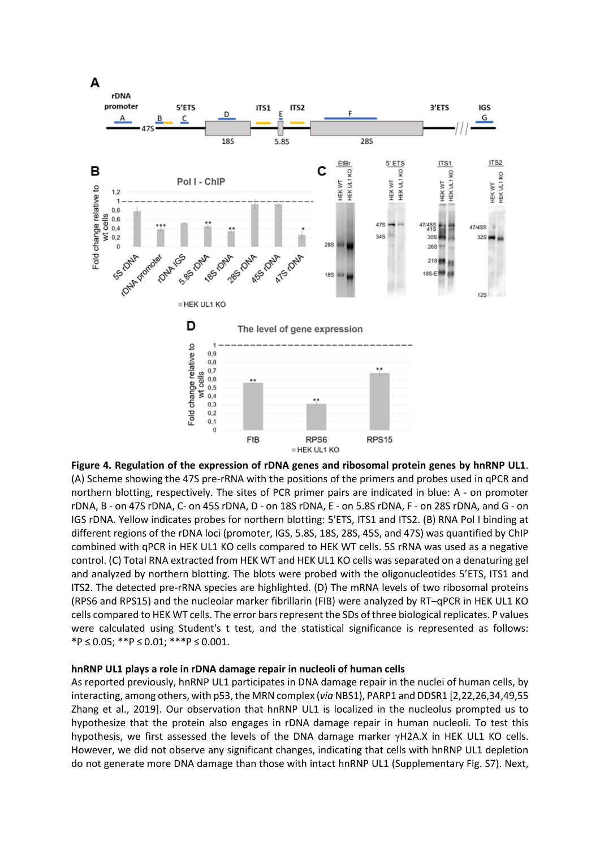

**Figure 4. Regulation of the expression of rDNA genes and ribosomal protein genes by hnRNP UL1**. (A) Scheme showing the 47S pre-rRNA with the positions of the primers and probes used in qPCR and northern blotting, respectively. The sites of PCR primer pairs are indicated in blue: A - on promoter rDNA, B - on 47S rDNA, C- on 45S rDNA, D - on 18S rDNA, E - on 5.8S rDNA, F - on 28S rDNA, and G - on IGS rDNA. Yellow indicates probes for northern blotting: 5'ETS, ITS1 and ITS2. (B) RNA Pol I binding at different regions of the rDNA loci (promoter, IGS, 5.8S, 18S, 28S, 45S, and 47S) was quantified by ChIP combined with qPCR in HEK UL1 KO cells compared to HEK WT cells. 5S rRNA was used as a negative control. (C) Total RNA extracted from HEK WT and HEK UL1 KO cells was separated on a denaturing gel and analyzed by northern blotting. The blots were probed with the oligonucleotides 5'ETS, ITS1 and ITS2. The detected pre-rRNA species are highlighted. (D) The mRNA levels of two ribosomal proteins (RPS6 and RPS15) and the nucleolar marker fibrillarin (FIB) were analyzed by RT–qPCR in HEK UL1 KO cells compared to HEK WT cells. The error bars represent the SDs of three biological replicates. P values were calculated using Student's t test, and the statistical significance is represented as follows: \*P ≤ 0.05; \*\*P ≤ 0.01; \*\*\*P ≤ 0.001.

#### **hnRNP UL1 plays a role in rDNA damage repair in nucleoli of human cells**

As reported previously, hnRNP UL1 participates in DNA damage repair in the nuclei of human cells, by interacting, among others, with p53, the MRN complex (*via* NBS1), PARP1 and DDSR1 [2,22,26,34,49,55 Zhang et al., 2019]. Our observation that hnRNP UL1 is localized in the nucleolus prompted us to hypothesize that the protein also engages in rDNA damage repair in human nucleoli. To test this hypothesis, we first assessed the levels of the DNA damage marker γH2A.X in HEK UL1 KO cells. However, we did not observe any significant changes, indicating that cells with hnRNP UL1 depletion do not generate more DNA damage than those with intact hnRNP UL1 (Supplementary Fig. S7). Next,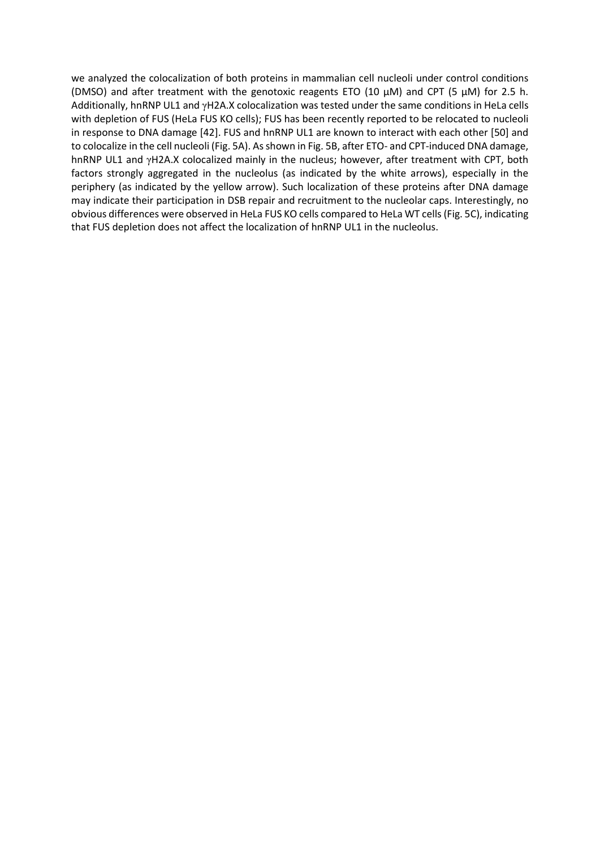we analyzed the colocalization of both proteins in mammalian cell nucleoli under control conditions (DMSO) and after treatment with the genotoxic reagents ETO (10  $\mu$ M) and CPT (5  $\mu$ M) for 2.5 h. Additionally, hnRNP UL1 and γH2A.X colocalization was tested under the same conditions in HeLa cells with depletion of FUS (HeLa FUS KO cells); FUS has been recently reported to be relocated to nucleoli in response to DNA damage [42]. FUS and hnRNP UL1 are known to interact with each other [50] and to colocalize in the cell nucleoli (Fig. 5A). As shown in Fig. 5B, after ETO- and CPT-induced DNA damage, hnRNP UL1 and γH2A.X colocalized mainly in the nucleus; however, after treatment with CPT, both factors strongly aggregated in the nucleolus (as indicated by the white arrows), especially in the periphery (as indicated by the yellow arrow). Such localization of these proteins after DNA damage may indicate their participation in DSB repair and recruitment to the nucleolar caps. Interestingly, no obvious differences were observed in HeLa FUS KO cells compared to HeLa WT cells (Fig. 5C), indicating that FUS depletion does not affect the localization of hnRNP UL1 in the nucleolus.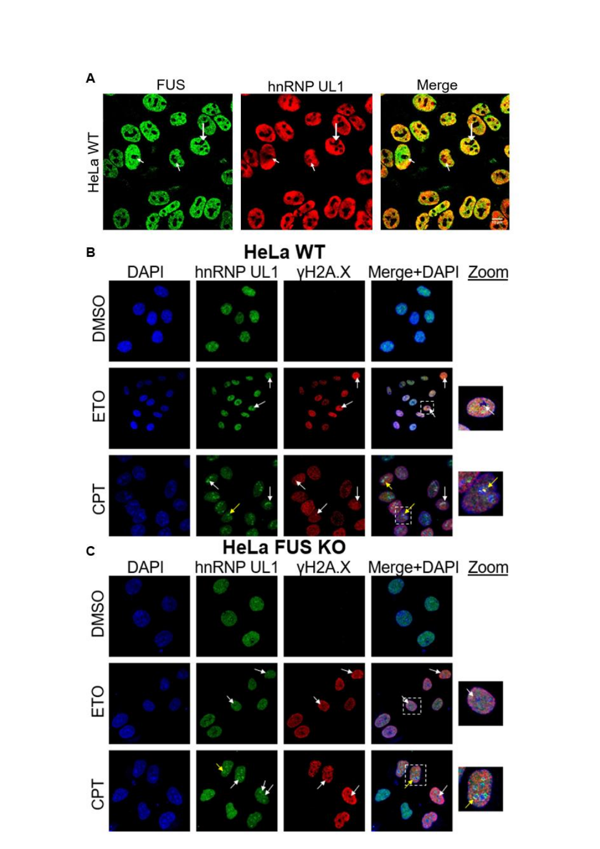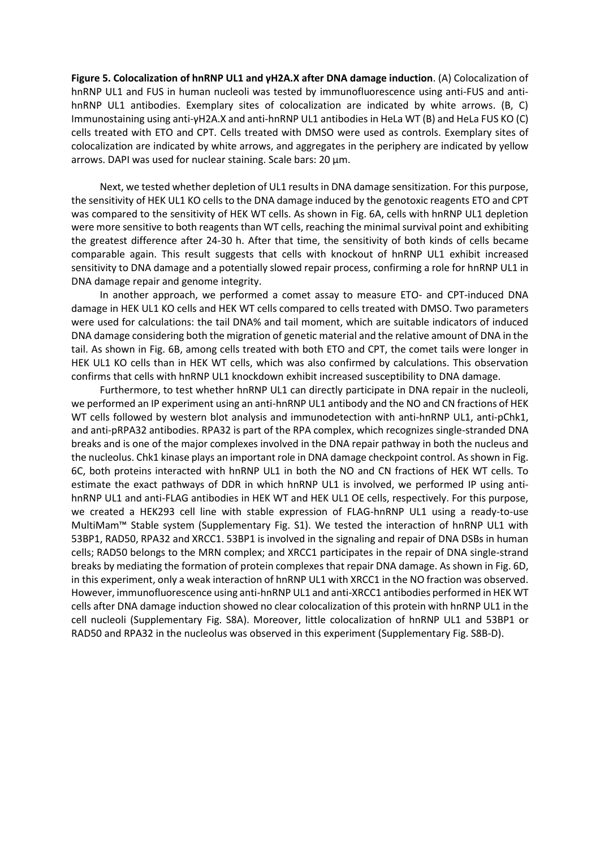**Figure 5. Colocalization of hnRNP UL1 and γH2A.X after DNA damage induction**. (A) Colocalization of hnRNP UL1 and FUS in human nucleoli was tested by immunofluorescence using anti-FUS and antihnRNP UL1 antibodies. Exemplary sites of colocalization are indicated by white arrows. (B, C) Immunostaining using anti-γH2A.X and anti-hnRNP UL1 antibodies in HeLa WT (B) and HeLa FUS KO (C) cells treated with ETO and CPT. Cells treated with DMSO were used as controls. Exemplary sites of colocalization are indicated by white arrows, and aggregates in the periphery are indicated by yellow arrows. DAPI was used for nuclear staining. Scale bars: 20 μm.

Next, we tested whether depletion of UL1 results in DNA damage sensitization. For this purpose, the sensitivity of HEK UL1 KO cells to the DNA damage induced by the genotoxic reagents ETO and CPT was compared to the sensitivity of HEK WT cells. As shown in Fig. 6A, cells with hnRNP UL1 depletion were more sensitive to both reagents than WT cells, reaching the minimal survival point and exhibiting the greatest difference after 24-30 h. After that time, the sensitivity of both kinds of cells became comparable again. This result suggests that cells with knockout of hnRNP UL1 exhibit increased sensitivity to DNA damage and a potentially slowed repair process, confirming a role for hnRNP UL1 in DNA damage repair and genome integrity.

In another approach, we performed a comet assay to measure ETO- and CPT-induced DNA damage in HEK UL1 KO cells and HEK WT cells compared to cells treated with DMSO. Two parameters were used for calculations: the tail DNA% and tail moment, which are suitable indicators of induced DNA damage considering both the migration of genetic material and the relative amount of DNA in the tail. As shown in Fig. 6B, among cells treated with both ETO and CPT, the comet tails were longer in HEK UL1 KO cells than in HEK WT cells, which was also confirmed by calculations. This observation confirms that cells with hnRNP UL1 knockdown exhibit increased susceptibility to DNA damage.

Furthermore, to test whether hnRNP UL1 can directly participate in DNA repair in the nucleoli, we performed an IP experiment using an anti-hnRNP UL1 antibody and the NO and CN fractions of HEK WT cells followed by western blot analysis and immunodetection with anti-hnRNP UL1, anti-pChk1, and anti-pRPA32 antibodies. RPA32 is part of the RPA complex, which recognizes single-stranded DNA breaks and is one of the major complexes involved in the DNA repair pathway in both the nucleus and the nucleolus. Chk1 kinase plays an important role in DNA damage checkpoint control. As shown in Fig. 6C, both proteins interacted with hnRNP UL1 in both the NO and CN fractions of HEK WT cells. To estimate the exact pathways of DDR in which hnRNP UL1 is involved, we performed IP using antihnRNP UL1 and anti-FLAG antibodies in HEK WT and HEK UL1 OE cells, respectively. For this purpose, we created a HEK293 cell line with stable expression of FLAG-hnRNP UL1 using a ready-to-use MultiMam™ Stable system (Supplementary Fig. S1). We tested the interaction of hnRNP UL1 with 53BP1, RAD50, RPA32 and XRCC1. 53BP1 is involved in the signaling and repair of DNA DSBs in human cells; RAD50 belongs to the MRN complex; and XRCC1 participates in the repair of DNA single-strand breaks by mediating the formation of protein complexes that repair DNA damage. As shown in Fig. 6D, in this experiment, only a weak interaction of hnRNP UL1 with XRCC1 in the NO fraction was observed. However, immunofluorescence using anti-hnRNP UL1 and anti-XRCC1 antibodies performed in HEK WT cells after DNA damage induction showed no clear colocalization of this protein with hnRNP UL1 in the cell nucleoli (Supplementary Fig. S8A). Moreover, little colocalization of hnRNP UL1 and 53BP1 or RAD50 and RPA32 in the nucleolus was observed in this experiment (Supplementary Fig. S8B-D).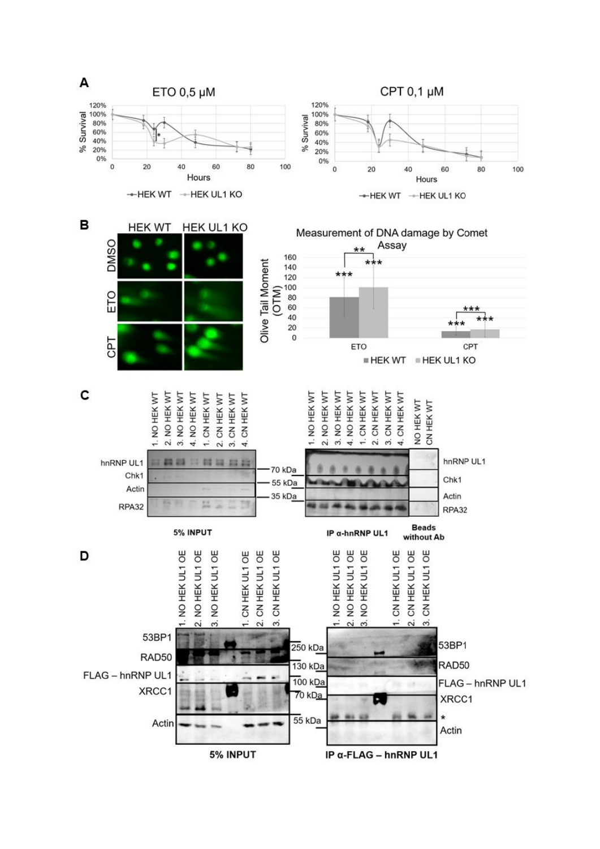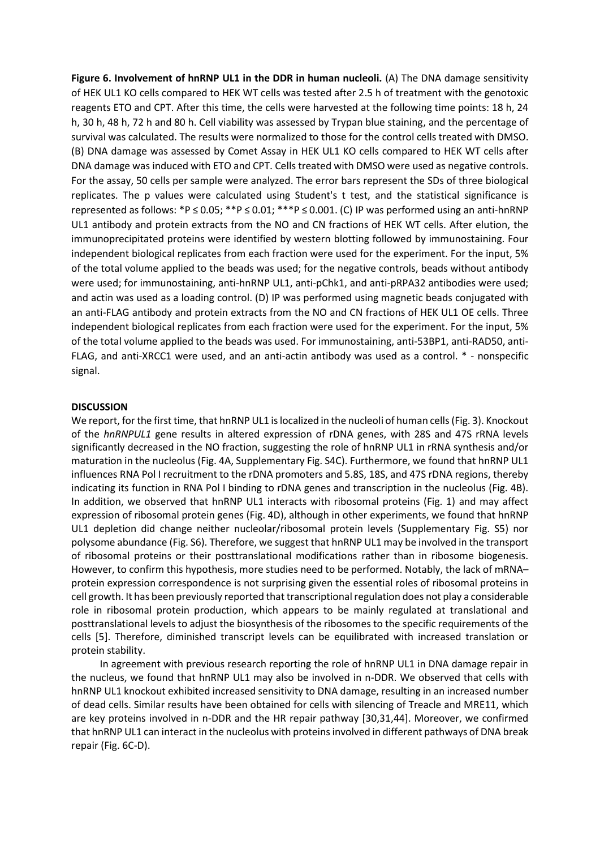**Figure 6. Involvement of hnRNP UL1 in the DDR in human nucleoli.** (A) The DNA damage sensitivity of HEK UL1 KO cells compared to HEK WT cells was tested after 2.5 h of treatment with the genotoxic reagents ETO and CPT. After this time, the cells were harvested at the following time points: 18 h, 24 h, 30 h, 48 h, 72 h and 80 h. Cell viability was assessed by Trypan blue staining, and the percentage of survival was calculated. The results were normalized to those for the control cells treated with DMSO. (B) DNA damage was assessed by Comet Assay in HEK UL1 KO cells compared to HEK WT cells after DNA damage was induced with ETO and CPT. Cells treated with DMSO were used as negative controls. For the assay, 50 cells per sample were analyzed. The error bars represent the SDs of three biological replicates. The p values were calculated using Student's t test, and the statistical significance is represented as follows: \*P ≤ 0.05; \*\*P ≤ 0.01; \*\*\*P ≤ 0.001. (C) IP was performed using an anti-hnRNP UL1 antibody and protein extracts from the NO and CN fractions of HEK WT cells. After elution, the immunoprecipitated proteins were identified by western blotting followed by immunostaining. Four independent biological replicates from each fraction were used for the experiment. For the input, 5% of the total volume applied to the beads was used; for the negative controls, beads without antibody were used; for immunostaining, anti-hnRNP UL1, anti-pChk1, and anti-pRPA32 antibodies were used; and actin was used as a loading control. (D) IP was performed using magnetic beads conjugated with an anti-FLAG antibody and protein extracts from the NO and CN fractions of HEK UL1 OE cells. Three independent biological replicates from each fraction were used for the experiment. For the input, 5% of the total volume applied to the beads was used. For immunostaining, anti-53BP1, anti-RAD50, anti-FLAG, and anti-XRCC1 were used, and an anti-actin antibody was used as a control. \* - nonspecific signal.

## **DISCUSSION**

We report, for the first time, that hnRNP UL1 is localized in the nucleoli of human cells (Fig. 3). Knockout of the *hnRNPUL1* gene results in altered expression of rDNA genes, with 28S and 47S rRNA levels significantly decreased in the NO fraction, suggesting the role of hnRNP UL1 in rRNA synthesis and/or maturation in the nucleolus (Fig. 4A, Supplementary Fig. S4C). Furthermore, we found that hnRNP UL1 influences RNA Pol I recruitment to the rDNA promoters and 5.8S, 18S, and 47S rDNA regions, thereby indicating its function in RNA Pol I binding to rDNA genes and transcription in the nucleolus (Fig. 4B). In addition, we observed that hnRNP UL1 interacts with ribosomal proteins (Fig. 1) and may affect expression of ribosomal protein genes (Fig. 4D), although in other experiments, we found that hnRNP UL1 depletion did change neither nucleolar/ribosomal protein levels (Supplementary Fig. S5) nor polysome abundance (Fig. S6). Therefore, we suggest that hnRNP UL1 may be involved in the transport of ribosomal proteins or their posttranslational modifications rather than in ribosome biogenesis. However, to confirm this hypothesis, more studies need to be performed. Notably, the lack of mRNA– protein expression correspondence is not surprising given the essential roles of ribosomal proteins in cell growth. It has been previously reported that transcriptional regulation does not play a considerable role in ribosomal protein production, which appears to be mainly regulated at translational and posttranslational levels to adjust the biosynthesis of the ribosomes to the specific requirements of the cells [5]. Therefore, diminished transcript levels can be equilibrated with increased translation or protein stability.

In agreement with previous research reporting the role of hnRNP UL1 in DNA damage repair in the nucleus, we found that hnRNP UL1 may also be involved in n-DDR. We observed that cells with hnRNP UL1 knockout exhibited increased sensitivity to DNA damage, resulting in an increased number of dead cells. Similar results have been obtained for cells with silencing of Treacle and MRE11, which are key proteins involved in n-DDR and the HR repair pathway [30,31,44]. Moreover, we confirmed that hnRNP UL1 can interact in the nucleolus with proteins involved in different pathways of DNA break repair (Fig. 6C-D).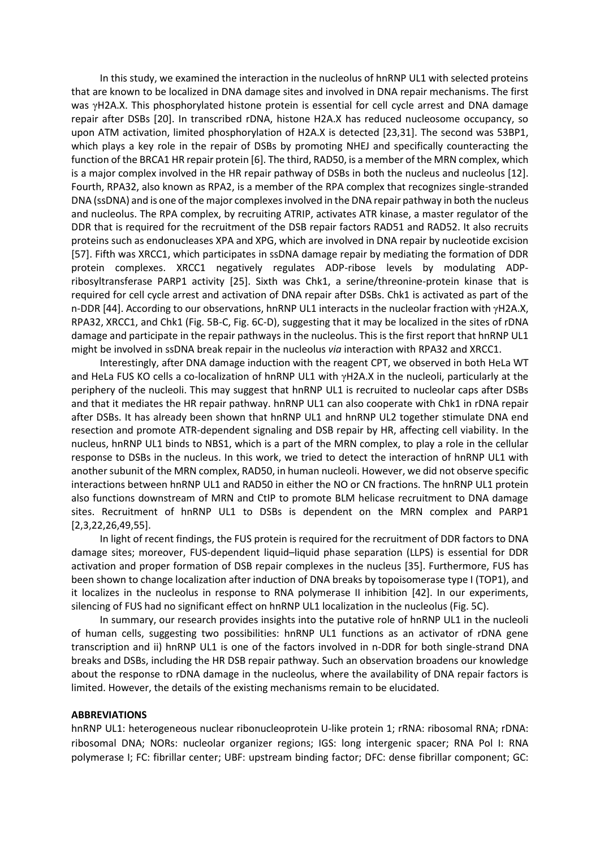In this study, we examined the interaction in the nucleolus of hnRNP UL1 with selected proteins that are known to be localized in DNA damage sites and involved in DNA repair mechanisms. The first was γH2A.X. This phosphorylated histone protein is essential for cell cycle arrest and DNA damage repair after DSBs [20]. In transcribed rDNA, histone H2A.X has reduced nucleosome occupancy, so upon ATM activation, limited phosphorylation of H2A.X is detected [23,31]. The second was 53BP1, which plays a key role in the repair of DSBs by promoting NHEJ and specifically counteracting the function of the BRCA1 HR repair protein [6]. The third, RAD50, is a member of the MRN complex, which is a major complex involved in the HR repair pathway of DSBs in both the nucleus and nucleolus [12]. Fourth, RPA32, also known as RPA2, is a member of the RPA complex that recognizes single-stranded DNA (ssDNA) and is one of the major complexes involved in the DNA repair pathway in both the nucleus and nucleolus. The RPA complex, by recruiting ATRIP, activates ATR kinase, a master regulator of the DDR that is required for the recruitment of the DSB repair factors RAD51 and RAD52. It also recruits proteins such as endonucleases XPA and XPG, which are involved in DNA repair by nucleotide excision [57]. Fifth was XRCC1, which participates in ssDNA damage repair by mediating the formation of DDR protein complexes. XRCC1 negatively regulates ADP-ribose levels by modulating ADPribosyltransferase PARP1 activity [25]. Sixth was Chk1, a serine/threonine-protein kinase that is required for cell cycle arrest and activation of DNA repair after DSBs. Chk1 is activated as part of the n-DDR [44]. According to our observations, hnRNP UL1 interacts in the nucleolar fraction with γH2A.X, RPA32, XRCC1, and Chk1 (Fig. 5B-C, Fig. 6C-D), suggesting that it may be localized in the sites of rDNA damage and participate in the repair pathways in the nucleolus. This is the first report that hnRNP UL1 might be involved in ssDNA break repair in the nucleolus *via* interaction with RPA32 and XRCC1.

Interestingly, after DNA damage induction with the reagent CPT, we observed in both HeLa WT and HeLa FUS KO cells a co-localization of hnRNP UL1 with γH2A.X in the nucleoli, particularly at the periphery of the nucleoli. This may suggest that hnRNP UL1 is recruited to nucleolar caps after DSBs and that it mediates the HR repair pathway. hnRNP UL1 can also cooperate with Chk1 in rDNA repair after DSBs. It has already been shown that hnRNP UL1 and hnRNP UL2 together stimulate DNA end resection and promote ATR-dependent signaling and DSB repair by HR, affecting cell viability. In the nucleus, hnRNP UL1 binds to NBS1, which is a part of the MRN complex, to play a role in the cellular response to DSBs in the nucleus. In this work, we tried to detect the interaction of hnRNP UL1 with another subunit of the MRN complex, RAD50, in human nucleoli. However, we did not observe specific interactions between hnRNP UL1 and RAD50 in either the NO or CN fractions. The hnRNP UL1 protein also functions downstream of MRN and CtIP to promote BLM helicase recruitment to DNA damage sites. Recruitment of hnRNP UL1 to DSBs is dependent on the MRN complex and PARP1 [2,3,22,26,49,55].

In light of recent findings, the FUS protein is required for the recruitment of DDR factors to DNA damage sites; moreover, FUS-dependent liquid–liquid phase separation (LLPS) is essential for DDR activation and proper formation of DSB repair complexes in the nucleus [35]. Furthermore, FUS has been shown to change localization after induction of DNA breaks by topoisomerase type I (TOP1), and it localizes in the nucleolus in response to RNA polymerase II inhibition [42]. In our experiments, silencing of FUS had no significant effect on hnRNP UL1 localization in the nucleolus (Fig. 5C).

In summary, our research provides insights into the putative role of hnRNP UL1 in the nucleoli of human cells, suggesting two possibilities: hnRNP UL1 functions as an activator of rDNA gene transcription and ii) hnRNP UL1 is one of the factors involved in n-DDR for both single-strand DNA breaks and DSBs, including the HR DSB repair pathway. Such an observation broadens our knowledge about the response to rDNA damage in the nucleolus, where the availability of DNA repair factors is limited. However, the details of the existing mechanisms remain to be elucidated.

#### **ABBREVIATIONS**

hnRNP UL1: heterogeneous nuclear ribonucleoprotein U-like protein 1; rRNA: ribosomal RNA; rDNA: ribosomal DNA; NORs: nucleolar organizer regions; IGS: long intergenic spacer; RNA Pol I: RNA polymerase I; FC: fibrillar center; UBF: upstream binding factor; DFC: dense fibrillar component; GC: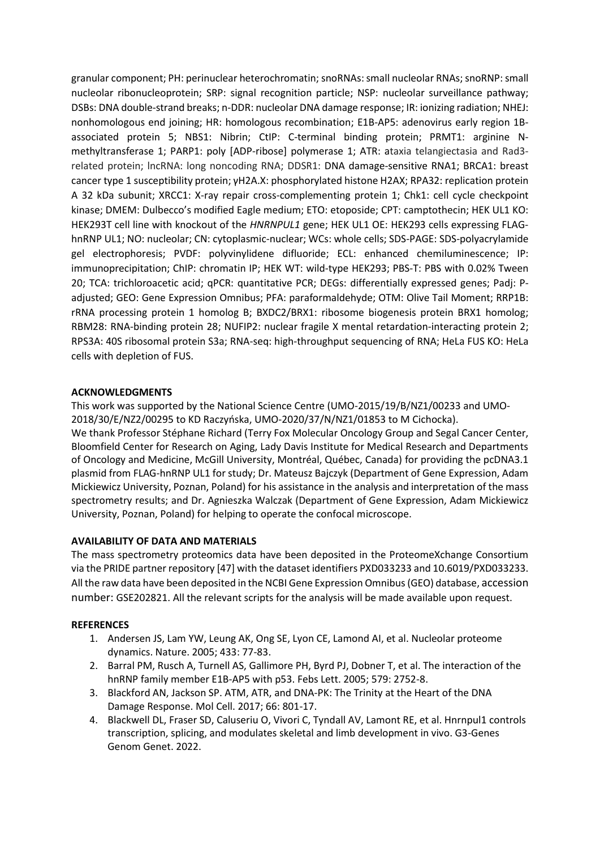granular component; PH: perinuclear heterochromatin; snoRNAs: small nucleolar RNAs; snoRNP: small nucleolar ribonucleoprotein; SRP: signal recognition particle; NSP: nucleolar surveillance pathway; DSBs: DNA double-strand breaks; n-DDR: nucleolar DNA damage response; IR: ionizing radiation; NHEJ: nonhomologous end joining; HR: homologous recombination; E1B-AP5: adenovirus early region 1Bassociated protein 5; NBS1: Nibrin; CtIP: C-terminal binding protein; PRMT1: arginine Nmethyltransferase 1; PARP1: poly [ADP-ribose] polymerase 1; ATR: ataxia telangiectasia and Rad3 related protein; lncRNA: long noncoding RNA; DDSR1: DNA damage-sensitive RNA1; BRCA1: breast cancer type 1 susceptibility protein; γH2A.X: phosphorylated histone H2AX; RPA32: replication protein A 32 kDa subunit; XRCC1: X-ray repair cross-complementing protein 1; Chk1: cell cycle checkpoint kinase; DMEM: Dulbecco's modified Eagle medium; ETO: etoposide; CPT: camptothecin; HEK UL1 KO: HEK293T cell line with knockout of the *HNRNPUL1* gene; HEK UL1 OE: HEK293 cells expressing FLAGhnRNP UL1; NO: nucleolar; CN: cytoplasmic-nuclear; WCs: whole cells; SDS-PAGE: SDS-polyacrylamide gel electrophoresis; PVDF: polyvinylidene difluoride; ECL: enhanced chemiluminescence; IP: immunoprecipitation; ChIP: chromatin IP; HEK WT: wild-type HEK293; PBS-T: PBS with 0.02% Tween 20; TCA: trichloroacetic acid; qPCR: quantitative PCR; DEGs: differentially expressed genes; Padj: Padjusted; GEO: Gene Expression Omnibus; PFA: paraformaldehyde; OTM: Olive Tail Moment; RRP1B: rRNA processing protein 1 homolog B; BXDC2/BRX1: ribosome biogenesis protein BRX1 homolog; RBM28: RNA-binding protein 28; NUFIP2: nuclear fragile X mental retardation-interacting protein 2; RPS3A: 40S ribosomal protein S3a; RNA-seq: high-throughput sequencing of RNA; HeLa FUS KO: HeLa cells with depletion of FUS.

# **ACKNOWLEDGMENTS**

This work was supported by the National Science Centre (UMO-2015/19/B/NZ1/00233 and UMO-2018/30/E/NZ2/00295 to KD Raczyńska, UMO-2020/37/N/NZ1/01853 to M Cichocka).

We thank Professor Stéphane Richard (Terry Fox Molecular Oncology Group and Segal Cancer Center, Bloomfield Center for Research on Aging, Lady Davis Institute for Medical Research and Departments of Oncology and Medicine, McGill University, Montréal, Québec, Canada) for providing the pcDNA3.1 plasmid from FLAG-hnRNP UL1 for study; Dr. Mateusz Bajczyk (Department of Gene Expression, Adam Mickiewicz University, Poznan, Poland) for his assistance in the analysis and interpretation of the mass spectrometry results; and Dr. Agnieszka Walczak (Department of Gene Expression, Adam Mickiewicz University, Poznan, Poland) for helping to operate the confocal microscope.

# **AVAILABILITY OF DATA AND MATERIALS**

The mass spectrometry proteomics data have been deposited in the ProteomeXchange Consortium via the PRIDE partner repository [47] with the dataset identifiers PXD033233 and 10.6019/PXD033233. All the raw data have been deposited in the NCBI Gene Expression Omnibus (GEO) database, accession number: GSE202821. All the relevant scripts for the analysis will be made available upon request.

## **REFERENCES**

- 1. Andersen JS, Lam YW, Leung AK, Ong SE, Lyon CE, Lamond AI, et al. Nucleolar proteome dynamics. Nature. 2005; 433: 77-83.
- 2. Barral PM, Rusch A, Turnell AS, Gallimore PH, Byrd PJ, Dobner T, et al. The interaction of the hnRNP family member E1B-AP5 with p53. Febs Lett. 2005; 579: 2752-8.
- 3. Blackford AN, Jackson SP. ATM, ATR, and DNA-PK: The Trinity at the Heart of the DNA Damage Response. Mol Cell. 2017; 66: 801-17.
- 4. Blackwell DL, Fraser SD, Caluseriu O, Vivori C, Tyndall AV, Lamont RE, et al. Hnrnpul1 controls transcription, splicing, and modulates skeletal and limb development in vivo. G3-Genes Genom Genet. 2022.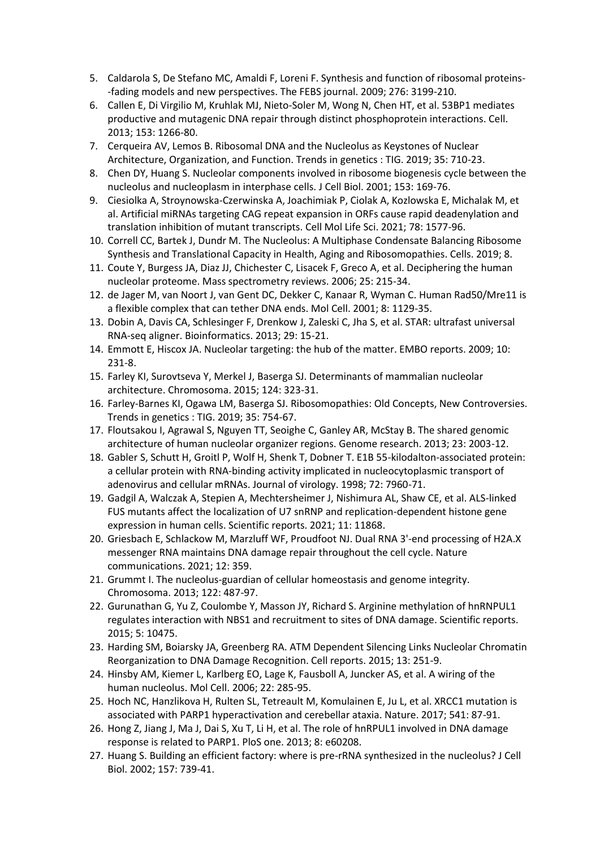- 5. Caldarola S, De Stefano MC, Amaldi F, Loreni F. Synthesis and function of ribosomal proteins- -fading models and new perspectives. The FEBS journal. 2009; 276: 3199-210.
- 6. Callen E, Di Virgilio M, Kruhlak MJ, Nieto-Soler M, Wong N, Chen HT, et al. 53BP1 mediates productive and mutagenic DNA repair through distinct phosphoprotein interactions. Cell. 2013; 153: 1266-80.
- 7. Cerqueira AV, Lemos B. Ribosomal DNA and the Nucleolus as Keystones of Nuclear Architecture, Organization, and Function. Trends in genetics : TIG. 2019; 35: 710-23.
- 8. Chen DY, Huang S. Nucleolar components involved in ribosome biogenesis cycle between the nucleolus and nucleoplasm in interphase cells. J Cell Biol. 2001; 153: 169-76.
- 9. Ciesiolka A, Stroynowska-Czerwinska A, Joachimiak P, Ciolak A, Kozlowska E, Michalak M, et al. Artificial miRNAs targeting CAG repeat expansion in ORFs cause rapid deadenylation and translation inhibition of mutant transcripts. Cell Mol Life Sci. 2021; 78: 1577-96.
- 10. Correll CC, Bartek J, Dundr M. The Nucleolus: A Multiphase Condensate Balancing Ribosome Synthesis and Translational Capacity in Health, Aging and Ribosomopathies. Cells. 2019; 8.
- 11. Coute Y, Burgess JA, Diaz JJ, Chichester C, Lisacek F, Greco A, et al. Deciphering the human nucleolar proteome. Mass spectrometry reviews. 2006; 25: 215-34.
- 12. de Jager M, van Noort J, van Gent DC, Dekker C, Kanaar R, Wyman C. Human Rad50/Mre11 is a flexible complex that can tether DNA ends. Mol Cell. 2001; 8: 1129-35.
- 13. Dobin A, Davis CA, Schlesinger F, Drenkow J, Zaleski C, Jha S, et al. STAR: ultrafast universal RNA-seq aligner. Bioinformatics. 2013; 29: 15-21.
- 14. Emmott E, Hiscox JA. Nucleolar targeting: the hub of the matter. EMBO reports. 2009; 10: 231-8.
- 15. Farley KI, Surovtseva Y, Merkel J, Baserga SJ. Determinants of mammalian nucleolar architecture. Chromosoma. 2015; 124: 323-31.
- 16. Farley-Barnes KI, Ogawa LM, Baserga SJ. Ribosomopathies: Old Concepts, New Controversies. Trends in genetics : TIG. 2019; 35: 754-67.
- 17. Floutsakou I, Agrawal S, Nguyen TT, Seoighe C, Ganley AR, McStay B. The shared genomic architecture of human nucleolar organizer regions. Genome research. 2013; 23: 2003-12.
- 18. Gabler S, Schutt H, Groitl P, Wolf H, Shenk T, Dobner T. E1B 55-kilodalton-associated protein: a cellular protein with RNA-binding activity implicated in nucleocytoplasmic transport of adenovirus and cellular mRNAs. Journal of virology. 1998; 72: 7960-71.
- 19. Gadgil A, Walczak A, Stepien A, Mechtersheimer J, Nishimura AL, Shaw CE, et al. ALS-linked FUS mutants affect the localization of U7 snRNP and replication-dependent histone gene expression in human cells. Scientific reports. 2021; 11: 11868.
- 20. Griesbach E, Schlackow M, Marzluff WF, Proudfoot NJ. Dual RNA 3'-end processing of H2A.X messenger RNA maintains DNA damage repair throughout the cell cycle. Nature communications. 2021; 12: 359.
- 21. Grummt I. The nucleolus-guardian of cellular homeostasis and genome integrity. Chromosoma. 2013; 122: 487-97.
- 22. Gurunathan G, Yu Z, Coulombe Y, Masson JY, Richard S. Arginine methylation of hnRNPUL1 regulates interaction with NBS1 and recruitment to sites of DNA damage. Scientific reports. 2015; 5: 10475.
- 23. Harding SM, Boiarsky JA, Greenberg RA. ATM Dependent Silencing Links Nucleolar Chromatin Reorganization to DNA Damage Recognition. Cell reports. 2015; 13: 251-9.
- 24. Hinsby AM, Kiemer L, Karlberg EO, Lage K, Fausboll A, Juncker AS, et al. A wiring of the human nucleolus. Mol Cell. 2006; 22: 285-95.
- 25. Hoch NC, Hanzlikova H, Rulten SL, Tetreault M, Komulainen E, Ju L, et al. XRCC1 mutation is associated with PARP1 hyperactivation and cerebellar ataxia. Nature. 2017; 541: 87-91.
- 26. Hong Z, Jiang J, Ma J, Dai S, Xu T, Li H, et al. The role of hnRPUL1 involved in DNA damage response is related to PARP1. PloS one. 2013; 8: e60208.
- 27. Huang S. Building an efficient factory: where is pre-rRNA synthesized in the nucleolus? J Cell Biol. 2002; 157: 739-41.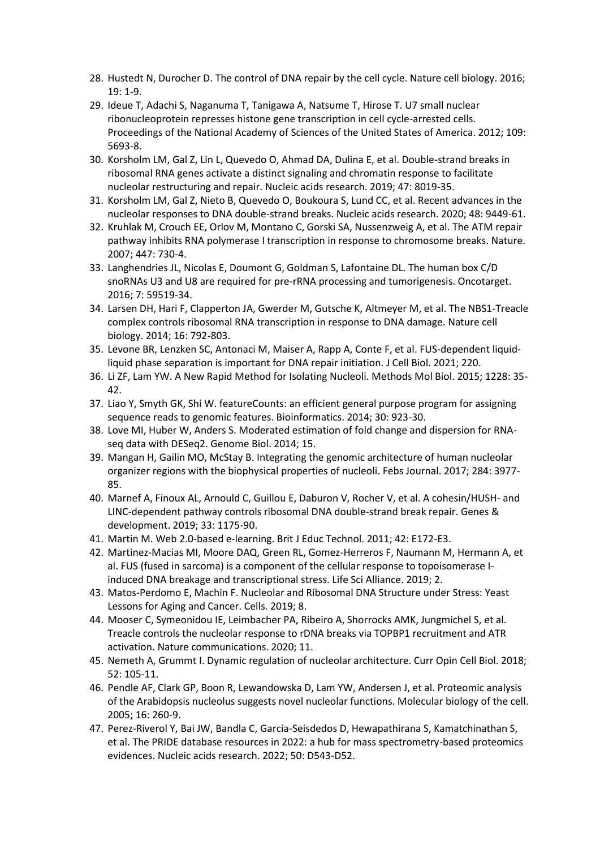- 28. Hustedt N, Durocher D. The control of DNA repair by the cell cycle. Nature cell biology. 2016; 19: 1-9.
- 29. Ideue T, Adachi S, Naganuma T, Tanigawa A, Natsume T, Hirose T. U7 small nuclear ribonucleoprotein represses histone gene transcription in cell cycle-arrested cells. Proceedings of the National Academy of Sciences of the United States of America. 2012; 109: 5693-8.
- 30. Korsholm LM, Gal Z, Lin L, Quevedo O, Ahmad DA, Dulina E, et al. Double-strand breaks in ribosomal RNA genes activate a distinct signaling and chromatin response to facilitate nucleolar restructuring and repair. Nucleic acids research. 2019; 47: 8019-35.
- 31. Korsholm LM, Gal Z, Nieto B, Quevedo O, Boukoura S, Lund CC, et al. Recent advances in the nucleolar responses to DNA double-strand breaks. Nucleic acids research. 2020; 48: 9449-61.
- 32. Kruhlak M, Crouch EE, Orlov M, Montano C, Gorski SA, Nussenzweig A, et al. The ATM repair pathway inhibits RNA polymerase I transcription in response to chromosome breaks. Nature. 2007; 447: 730-4.
- 33. Langhendries JL, Nicolas E, Doumont G, Goldman S, Lafontaine DL. The human box C/D snoRNAs U3 and U8 are required for pre-rRNA processing and tumorigenesis. Oncotarget. 2016; 7: 59519-34.
- 34. Larsen DH, Hari F, Clapperton JA, Gwerder M, Gutsche K, Altmeyer M, et al. The NBS1-Treacle complex controls ribosomal RNA transcription in response to DNA damage. Nature cell biology. 2014; 16: 792-803.
- 35. Levone BR, Lenzken SC, Antonaci M, Maiser A, Rapp A, Conte F, et al. FUS-dependent liquidliquid phase separation is important for DNA repair initiation. J Cell Biol. 2021; 220.
- 36. Li ZF, Lam YW. A New Rapid Method for Isolating Nucleoli. Methods Mol Biol. 2015; 1228: 35- 42.
- 37. Liao Y, Smyth GK, Shi W. featureCounts: an efficient general purpose program for assigning sequence reads to genomic features. Bioinformatics. 2014; 30: 923-30.
- 38. Love MI, Huber W, Anders S. Moderated estimation of fold change and dispersion for RNAseq data with DESeq2. Genome Biol. 2014; 15.
- 39. Mangan H, Gailin MO, McStay B. Integrating the genomic architecture of human nucleolar organizer regions with the biophysical properties of nucleoli. Febs Journal. 2017; 284: 3977- 85.
- 40. Marnef A, Finoux AL, Arnould C, Guillou E, Daburon V, Rocher V, et al. A cohesin/HUSH- and LINC-dependent pathway controls ribosomal DNA double-strand break repair. Genes & development. 2019; 33: 1175-90.
- 41. Martin M. Web 2.0-based e-learning. Brit J Educ Technol. 2011; 42: E172-E3.
- 42. Martinez-Macias MI, Moore DAQ, Green RL, Gomez-Herreros F, Naumann M, Hermann A, et al. FUS (fused in sarcoma) is a component of the cellular response to topoisomerase Iinduced DNA breakage and transcriptional stress. Life Sci Alliance. 2019; 2.
- 43. Matos-Perdomo E, Machin F. Nucleolar and Ribosomal DNA Structure under Stress: Yeast Lessons for Aging and Cancer. Cells. 2019; 8.
- 44. Mooser C, Symeonidou IE, Leimbacher PA, Ribeiro A, Shorrocks AMK, Jungmichel S, et al. Treacle controls the nucleolar response to rDNA breaks via TOPBP1 recruitment and ATR activation. Nature communications. 2020; 11.
- 45. Nemeth A, Grummt I. Dynamic regulation of nucleolar architecture. Curr Opin Cell Biol. 2018; 52: 105-11.
- 46. Pendle AF, Clark GP, Boon R, Lewandowska D, Lam YW, Andersen J, et al. Proteomic analysis of the Arabidopsis nucleolus suggests novel nucleolar functions. Molecular biology of the cell. 2005; 16: 260-9.
- 47. Perez-Riverol Y, Bai JW, Bandla C, Garcia-Seisdedos D, Hewapathirana S, Kamatchinathan S, et al. The PRIDE database resources in 2022: a hub for mass spectrometry-based proteomics evidences. Nucleic acids research. 2022; 50: D543-D52.